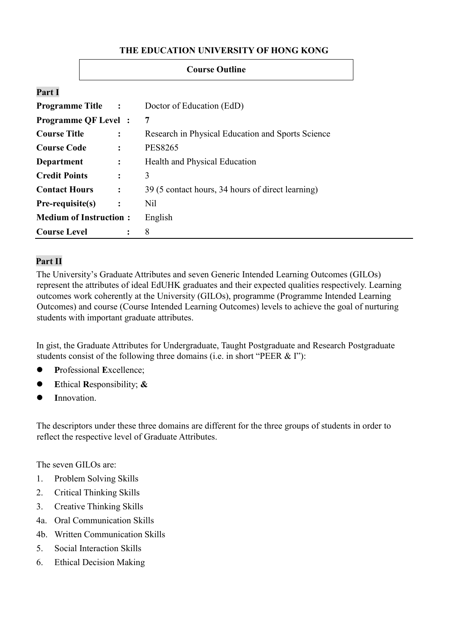## **THE EDUCATION UNIVERSITY OF HONG KONG**

**Course Outline**

# **Part I Programme Title :** Doctor of Education (EdD) **Programme QF Level : 7 Course Title :** Research in Physical Education and Sports Science **Course Code :** PES8265 **Department :** Health and Physical Education **Credit Points :** 3 **Contact Hours :** 39 (5 contact hours, 34 hours of direct learning) **Pre-requisite(s)** : Nil **Medium of Instruction :** English **Course Level :** 8

# **Part II**

The University's Graduate Attributes and seven Generic Intended Learning Outcomes (GILOs) represent the attributes of ideal EdUHK graduates and their expected qualities respectively. Learning outcomes work coherently at the University (GILOs), programme (Programme Intended Learning Outcomes) and course (Course Intended Learning Outcomes) levels to achieve the goal of nurturing students with important graduate attributes.

In gist, the Graduate Attributes for Undergraduate, Taught Postgraduate and Research Postgraduate students consist of the following three domains (i.e. in short "PEER & I"):

- **P**rofessional **E**xcellence;
- **E**thical **R**esponsibility; **&**
- **I**nnovation.

The descriptors under these three domains are different for the three groups of students in order to reflect the respective level of Graduate Attributes.

The seven GILOs are:

- 1. Problem Solving Skills
- 2. Critical Thinking Skills
- 3. Creative Thinking Skills
- 4a. Oral Communication Skills
- 4b. Written Communication Skills
- 5. Social Interaction Skills
- 6. Ethical Decision Making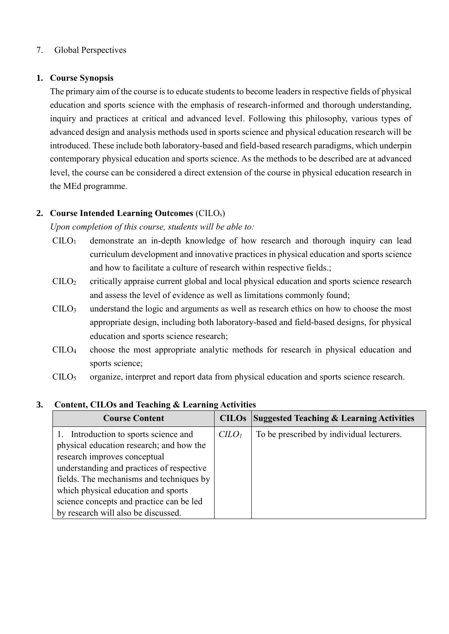### 7. Global Perspectives

## **1. Course Synopsis**

The primary aim of the course is to educate students to become leaders in respective fields of physical education and sports science with the emphasis of research-informed and thorough understanding, inquiry and practices at critical and advanced level. Following this philosophy, various types of advanced design and analysis methods used in sports science and physical education research will be introduced. These include both laboratory-based and field-based research paradigms, which underpin contemporary physical education and sports science. As the methods to be described are at advanced level, the course can be considered a direct extension of the course in physical education research in the MEd programme.

# **2. Course Intended Learning Outcomes** (CILOs)

*Upon completion of this course, students will be able to:*

- CILO<sup>1</sup> demonstrate an in-depth knowledge of how research and thorough inquiry can lead curriculum development and innovative practices in physical education and sports science and how to facilitate a culture of research within respective fields.;
- CILO<sup>2</sup> critically appraise current global and local physical education and sports science research and assess the level of evidence as well as limitations commonly found;
- $\text{CILO}_3$  understand the logic and arguments as well as research ethics on how to choose the most appropriate design, including both laboratory-based and field-based designs, for physical education and sports science research;
- CILO<sup>4</sup> choose the most appropriate analytic methods for research in physical education and sports science;
- CILO<sup>5</sup> organize, interpret and report data from physical education and sports science research.

# **3. Content, CILOs and Teaching & Learning Activities**

| <b>Course Content</b>                     | <b>CILOS</b>                | <b>Suggested Teaching &amp; Learning Activities</b> |
|-------------------------------------------|-----------------------------|-----------------------------------------------------|
| 1. Introduction to sports science and     | C <sub>LO<sub>l</sub></sub> | To be prescribed by individual lecturers.           |
| physical education research; and how the  |                             |                                                     |
| research improves conceptual              |                             |                                                     |
| understanding and practices of respective |                             |                                                     |
| fields. The mechanisms and techniques by  |                             |                                                     |
| which physical education and sports       |                             |                                                     |
| science concepts and practice can be led  |                             |                                                     |
| by research will also be discussed.       |                             |                                                     |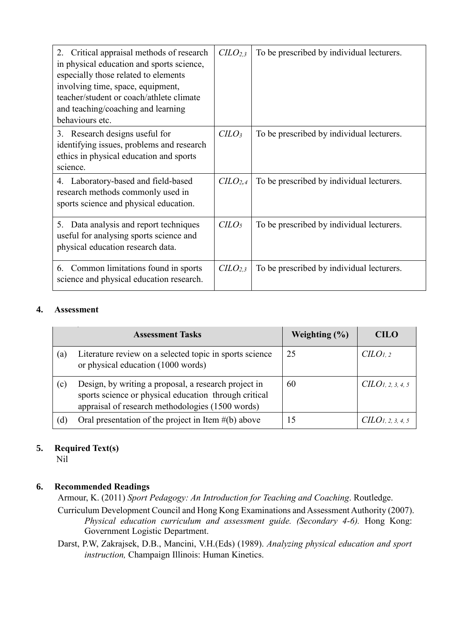| 2. Critical appraisal methods of research<br>in physical education and sports science,<br>especially those related to elements<br>involving time, space, equipment,<br>teacher/student or coach/athlete climate<br>and teaching/coaching and learning<br>behaviours etc. | C <sub>L</sub> O <sub>2,3</sub> | To be prescribed by individual lecturers. |
|--------------------------------------------------------------------------------------------------------------------------------------------------------------------------------------------------------------------------------------------------------------------------|---------------------------------|-------------------------------------------|
| 3. Research designs useful for<br>identifying issues, problems and research<br>ethics in physical education and sports<br>science.                                                                                                                                       | C <sub>LO<sub>3</sub></sub>     | To be prescribed by individual lecturers. |
| 4. Laboratory-based and field-based<br>research methods commonly used in<br>sports science and physical education.                                                                                                                                                       | C <sub>LO</sub> <sub>2,4</sub>  | To be prescribed by individual lecturers. |
| 5. Data analysis and report techniques<br>useful for analysing sports science and<br>physical education research data.                                                                                                                                                   | $C$                             | To be prescribed by individual lecturers. |
| Common limitations found in sports<br>6.<br>science and physical education research.                                                                                                                                                                                     | CLO <sub>2,3</sub>              | To be prescribed by individual lecturers. |

## **4. Assessment**

|     | <b>Assessment Tasks</b>                                                                                                                                           | Weighting $(\% )$ | <b>CILO</b>                   |
|-----|-------------------------------------------------------------------------------------------------------------------------------------------------------------------|-------------------|-------------------------------|
| (a) | Literature review on a selected topic in sports science<br>or physical education (1000 words)                                                                     | 25                | CLO <sub>1,2</sub>            |
| (c) | Design, by writing a proposal, a research project in<br>sports science or physical education through critical<br>appraisal of research methodologies (1500 words) | 60                | CLO <sub>1, 2, 3, 4, 5</sub>  |
| (d) | Oral presentation of the project in Item $#(b)$ above                                                                                                             |                   | CILO <sub>1, 2, 3, 4, 5</sub> |

# **5. Required Text(s)**

Nil

# **6. Recommended Readings**

Armour, K. (2011) *Sport Pedagogy: An Introduction for Teaching and Coaching*. Routledge.

- Curriculum Development Council and Hong Kong Examinations and Assessment Authority (2007). *Physical education curriculum and assessment guide. (Secondary 4-6).* Hong Kong: Government Logistic Department.
- Darst, P.W, Zakrajsek, D.B., Mancini, V.H.(Eds) (1989). *Analyzing physical education and sport instruction,* Champaign Illinois: Human Kinetics.